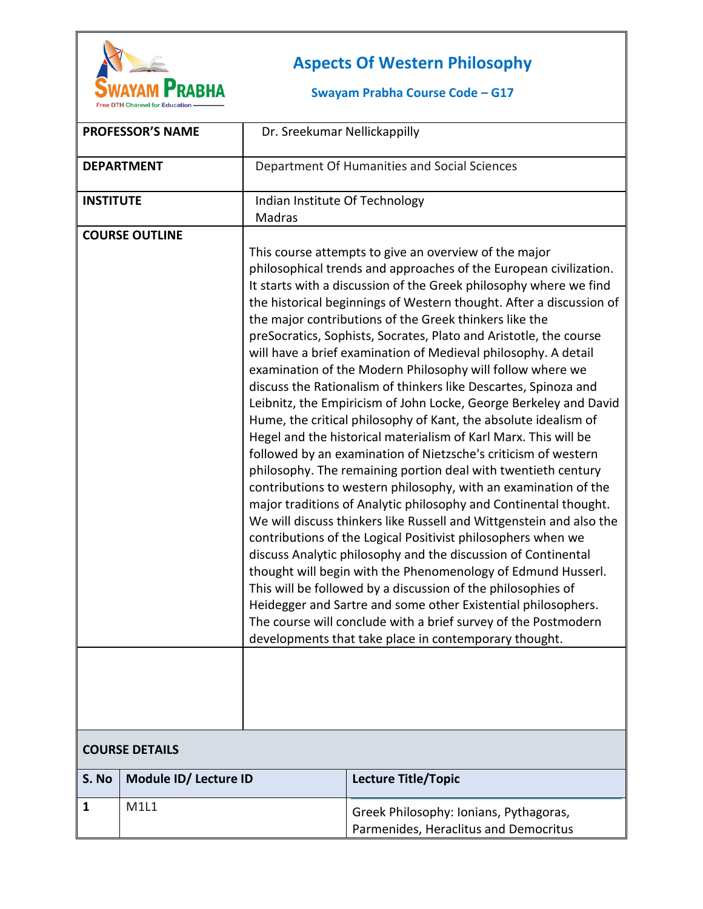

## **Aspects Of Western Philosophy**

**Swayam Prabha Course Code – G17**

|                       | <b>PROFESSOR'S NAME</b> | Dr. Sreekumar Nellickappilly   |                                                                                                                                                                                                                                                                                                                                                                                                                                                                                                                                                                                                                                                                                                                                                                                                                                                                                                                                                                                                                                                                                                                                                                                                                                                                                                                                                                                                                                                                                                                                                                                                                                  |  |
|-----------------------|-------------------------|--------------------------------|----------------------------------------------------------------------------------------------------------------------------------------------------------------------------------------------------------------------------------------------------------------------------------------------------------------------------------------------------------------------------------------------------------------------------------------------------------------------------------------------------------------------------------------------------------------------------------------------------------------------------------------------------------------------------------------------------------------------------------------------------------------------------------------------------------------------------------------------------------------------------------------------------------------------------------------------------------------------------------------------------------------------------------------------------------------------------------------------------------------------------------------------------------------------------------------------------------------------------------------------------------------------------------------------------------------------------------------------------------------------------------------------------------------------------------------------------------------------------------------------------------------------------------------------------------------------------------------------------------------------------------|--|
|                       | <b>DEPARTMENT</b>       |                                | Department Of Humanities and Social Sciences                                                                                                                                                                                                                                                                                                                                                                                                                                                                                                                                                                                                                                                                                                                                                                                                                                                                                                                                                                                                                                                                                                                                                                                                                                                                                                                                                                                                                                                                                                                                                                                     |  |
| <b>INSTITUTE</b>      |                         | Indian Institute Of Technology |                                                                                                                                                                                                                                                                                                                                                                                                                                                                                                                                                                                                                                                                                                                                                                                                                                                                                                                                                                                                                                                                                                                                                                                                                                                                                                                                                                                                                                                                                                                                                                                                                                  |  |
|                       |                         | Madras                         |                                                                                                                                                                                                                                                                                                                                                                                                                                                                                                                                                                                                                                                                                                                                                                                                                                                                                                                                                                                                                                                                                                                                                                                                                                                                                                                                                                                                                                                                                                                                                                                                                                  |  |
|                       | <b>COURSE OUTLINE</b>   |                                | This course attempts to give an overview of the major<br>philosophical trends and approaches of the European civilization.<br>It starts with a discussion of the Greek philosophy where we find<br>the historical beginnings of Western thought. After a discussion of<br>the major contributions of the Greek thinkers like the<br>preSocratics, Sophists, Socrates, Plato and Aristotle, the course<br>will have a brief examination of Medieval philosophy. A detail<br>examination of the Modern Philosophy will follow where we<br>discuss the Rationalism of thinkers like Descartes, Spinoza and<br>Leibnitz, the Empiricism of John Locke, George Berkeley and David<br>Hume, the critical philosophy of Kant, the absolute idealism of<br>Hegel and the historical materialism of Karl Marx. This will be<br>followed by an examination of Nietzsche's criticism of western<br>philosophy. The remaining portion deal with twentieth century<br>contributions to western philosophy, with an examination of the<br>major traditions of Analytic philosophy and Continental thought.<br>We will discuss thinkers like Russell and Wittgenstein and also the<br>contributions of the Logical Positivist philosophers when we<br>discuss Analytic philosophy and the discussion of Continental<br>thought will begin with the Phenomenology of Edmund Husserl.<br>This will be followed by a discussion of the philosophies of<br>Heidegger and Sartre and some other Existential philosophers.<br>The course will conclude with a brief survey of the Postmodern<br>developments that take place in contemporary thought. |  |
| <b>COURSE DETAILS</b> |                         |                                |                                                                                                                                                                                                                                                                                                                                                                                                                                                                                                                                                                                                                                                                                                                                                                                                                                                                                                                                                                                                                                                                                                                                                                                                                                                                                                                                                                                                                                                                                                                                                                                                                                  |  |
| S. No                 | Module ID/ Lecture ID   |                                | Lecture Title/Topic                                                                                                                                                                                                                                                                                                                                                                                                                                                                                                                                                                                                                                                                                                                                                                                                                                                                                                                                                                                                                                                                                                                                                                                                                                                                                                                                                                                                                                                                                                                                                                                                              |  |
| 1                     | M1L1                    |                                | Greek Philosophy: Ionians, Pythagoras,<br>Parmenides, Heraclitus and Democritus                                                                                                                                                                                                                                                                                                                                                                                                                                                                                                                                                                                                                                                                                                                                                                                                                                                                                                                                                                                                                                                                                                                                                                                                                                                                                                                                                                                                                                                                                                                                                  |  |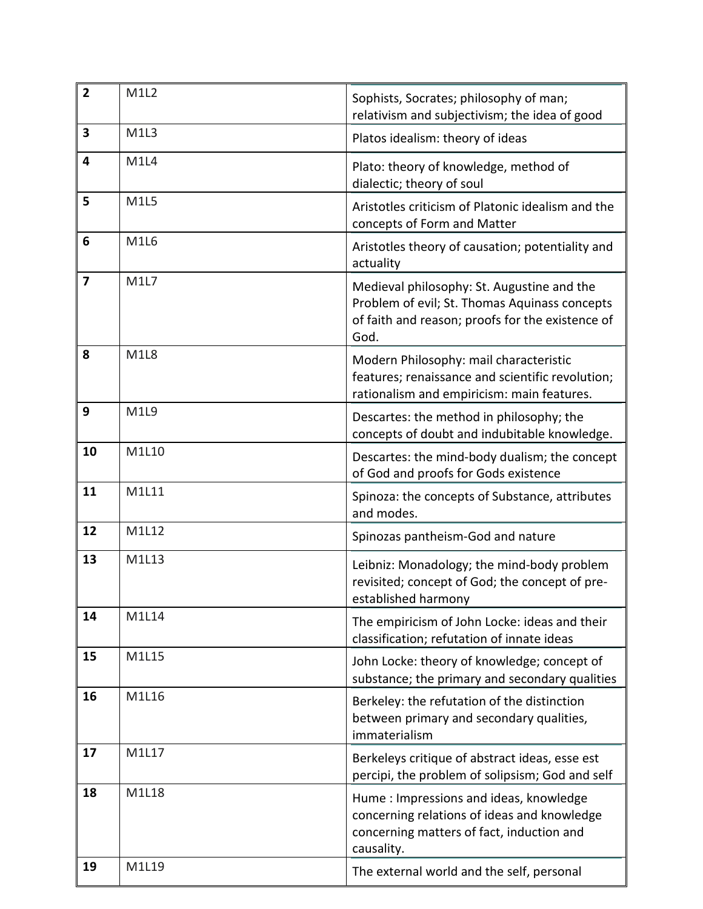| $\overline{2}$ | M1L2                          | Sophists, Socrates; philosophy of man;<br>relativism and subjectivism; the idea of good                                                                 |
|----------------|-------------------------------|---------------------------------------------------------------------------------------------------------------------------------------------------------|
| 3              | M <sub>1</sub> L <sub>3</sub> | Platos idealism: theory of ideas                                                                                                                        |
| 4              | M <sub>1</sub> L <sub>4</sub> | Plato: theory of knowledge, method of<br>dialectic; theory of soul                                                                                      |
| 5              | M1L5                          | Aristotles criticism of Platonic idealism and the<br>concepts of Form and Matter                                                                        |
| 6              | <b>M1L6</b>                   | Aristotles theory of causation; potentiality and<br>actuality                                                                                           |
| $\overline{7}$ | M1L7                          | Medieval philosophy: St. Augustine and the<br>Problem of evil; St. Thomas Aquinass concepts<br>of faith and reason; proofs for the existence of<br>God. |
| 8              | <b>M1L8</b>                   | Modern Philosophy: mail characteristic<br>features; renaissance and scientific revolution;<br>rationalism and empiricism: main features.                |
| 9              | M1L9                          | Descartes: the method in philosophy; the<br>concepts of doubt and indubitable knowledge.                                                                |
| 10             | M1L10                         | Descartes: the mind-body dualism; the concept<br>of God and proofs for Gods existence                                                                   |
| 11             | M1L11                         | Spinoza: the concepts of Substance, attributes<br>and modes.                                                                                            |
| 12             | M1L12                         | Spinozas pantheism-God and nature                                                                                                                       |
| 13             | M1L13                         | Leibniz: Monadology; the mind-body problem<br>revisited; concept of God; the concept of pre-<br>established harmony                                     |
| 14             | M1L14                         | The empiricism of John Locke: ideas and their<br>classification; refutation of innate ideas                                                             |
| 15             | M1L15                         | John Locke: theory of knowledge; concept of<br>substance; the primary and secondary qualities                                                           |
| 16             | M1L16                         | Berkeley: the refutation of the distinction<br>between primary and secondary qualities,<br>immaterialism                                                |
| 17             | M1L17                         | Berkeleys critique of abstract ideas, esse est<br>percipi, the problem of solipsism; God and self                                                       |
| 18             | M1L18                         | Hume: Impressions and ideas, knowledge<br>concerning relations of ideas and knowledge<br>concerning matters of fact, induction and<br>causality.        |
| 19             | M1L19                         | The external world and the self, personal                                                                                                               |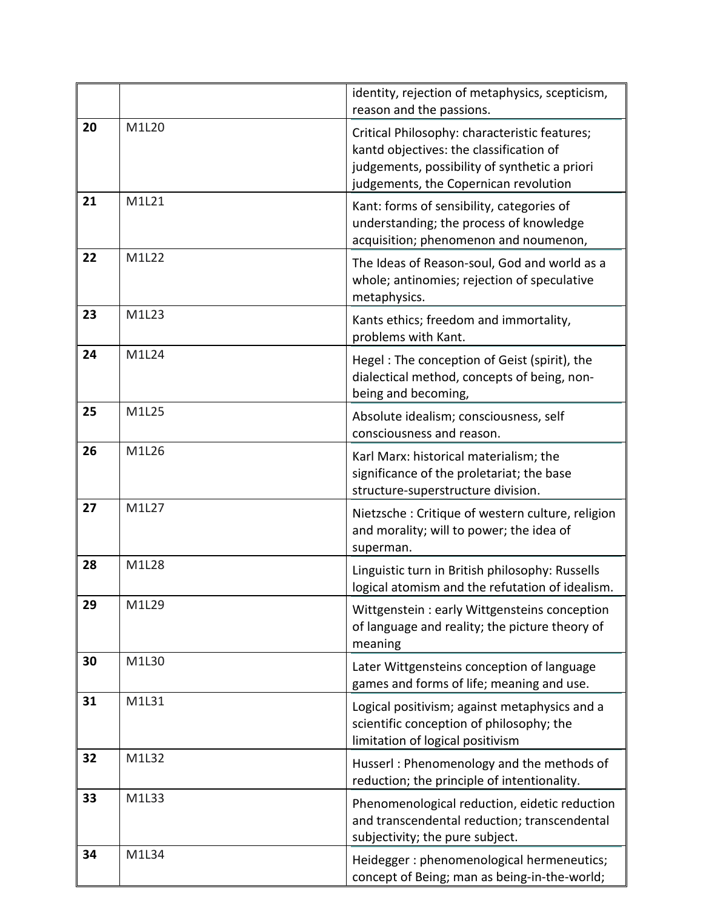|    |       | identity, rejection of metaphysics, scepticism,<br>reason and the passions.                                                                                                        |
|----|-------|------------------------------------------------------------------------------------------------------------------------------------------------------------------------------------|
| 20 | M1L20 | Critical Philosophy: characteristic features;<br>kantd objectives: the classification of<br>judgements, possibility of synthetic a priori<br>judgements, the Copernican revolution |
| 21 | M1L21 | Kant: forms of sensibility, categories of<br>understanding; the process of knowledge<br>acquisition; phenomenon and noumenon,                                                      |
| 22 | M1L22 | The Ideas of Reason-soul, God and world as a<br>whole; antinomies; rejection of speculative<br>metaphysics.                                                                        |
| 23 | M1L23 | Kants ethics; freedom and immortality,<br>problems with Kant.                                                                                                                      |
| 24 | M1L24 | Hegel: The conception of Geist (spirit), the<br>dialectical method, concepts of being, non-<br>being and becoming,                                                                 |
| 25 | M1L25 | Absolute idealism; consciousness, self<br>consciousness and reason.                                                                                                                |
| 26 | M1L26 | Karl Marx: historical materialism; the<br>significance of the proletariat; the base<br>structure-superstructure division.                                                          |
| 27 | M1L27 | Nietzsche: Critique of western culture, religion<br>and morality; will to power; the idea of<br>superman.                                                                          |
| 28 | M1L28 | Linguistic turn in British philosophy: Russells<br>logical atomism and the refutation of idealism.                                                                                 |
| 29 | M1L29 | Wittgenstein: early Wittgensteins conception<br>of language and reality; the picture theory of<br>meaning                                                                          |
| 30 | M1L30 | Later Wittgensteins conception of language<br>games and forms of life; meaning and use.                                                                                            |
| 31 | M1L31 | Logical positivism; against metaphysics and a<br>scientific conception of philosophy; the<br>limitation of logical positivism                                                      |
| 32 | M1L32 | Husserl: Phenomenology and the methods of<br>reduction; the principle of intentionality.                                                                                           |
| 33 | M1L33 | Phenomenological reduction, eidetic reduction<br>and transcendental reduction; transcendental<br>subjectivity; the pure subject.                                                   |
| 34 | M1L34 | Heidegger: phenomenological hermeneutics;<br>concept of Being; man as being-in-the-world;                                                                                          |